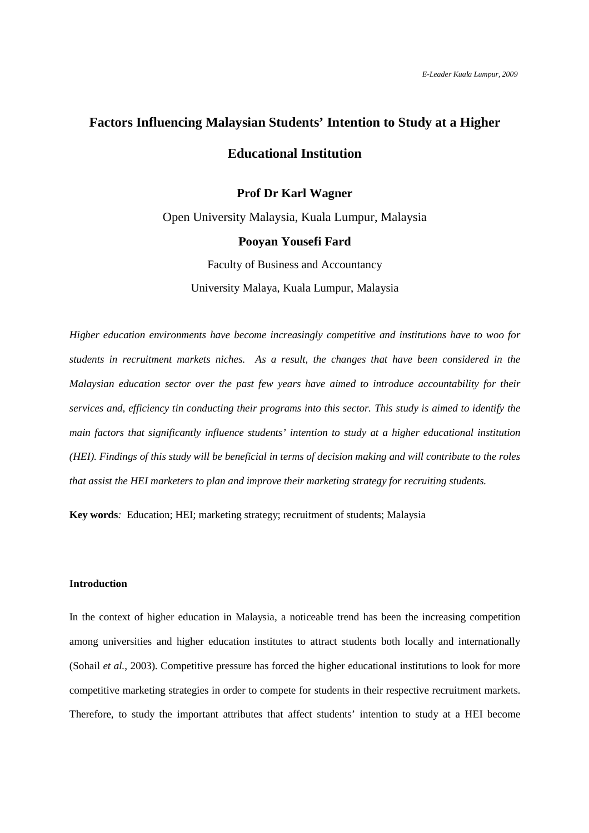# **Factors Influencing Malaysian Students' Intention to Study at a Higher Educational Institution**

# **Prof Dr Karl Wagner**

Open University Malaysia, Kuala Lumpur, Malaysia **Pooyan Yousefi Fard**  Faculty of Business and Accountancy

University Malaya, Kuala Lumpur, Malaysia

*Higher education environments have become increasingly competitive and institutions have to woo for students in recruitment markets niches. As a result, the changes that have been considered in the Malaysian education sector over the past few years have aimed to introduce accountability for their services and, efficiency tin conducting their programs into this sector. This study is aimed to identify the main factors that significantly influence students' intention to study at a higher educational institution (HEI). Findings of this study will be beneficial in terms of decision making and will contribute to the roles that assist the HEI marketers to plan and improve their marketing strategy for recruiting students.* 

**Key words***:* Education; HEI; marketing strategy; recruitment of students; Malaysia

## **Introduction**

In the context of higher education in Malaysia, a noticeable trend has been the increasing competition among universities and higher education institutes to attract students both locally and internationally (Sohail *et al.*, 2003). Competitive pressure has forced the higher educational institutions to look for more competitive marketing strategies in order to compete for students in their respective recruitment markets. Therefore, to study the important attributes that affect students' intention to study at a HEI become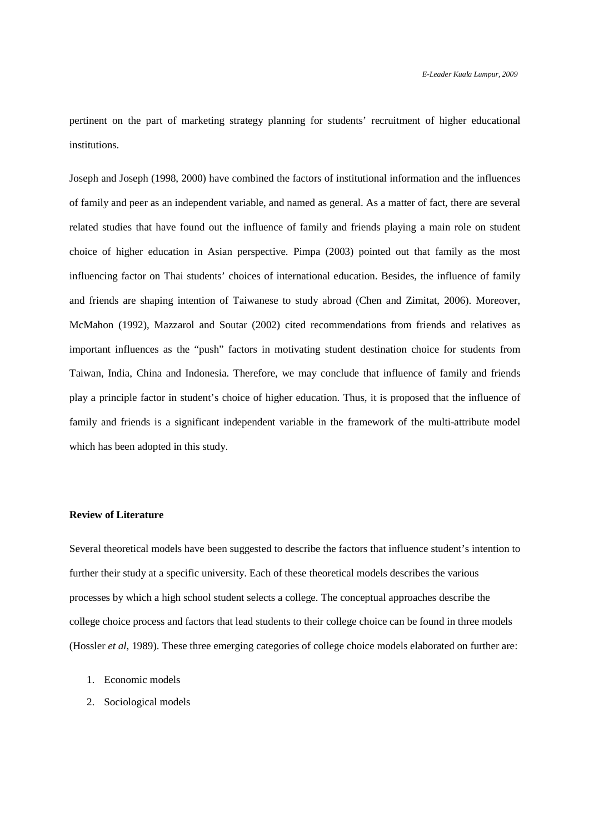pertinent on the part of marketing strategy planning for students' recruitment of higher educational institutions.

Joseph and Joseph (1998, 2000) have combined the factors of institutional information and the influences of family and peer as an independent variable, and named as general. As a matter of fact, there are several related studies that have found out the influence of family and friends playing a main role on student choice of higher education in Asian perspective. Pimpa (2003) pointed out that family as the most influencing factor on Thai students' choices of international education. Besides, the influence of family and friends are shaping intention of Taiwanese to study abroad (Chen and Zimitat, 2006). Moreover, McMahon (1992), Mazzarol and Soutar (2002) cited recommendations from friends and relatives as important influences as the "push" factors in motivating student destination choice for students from Taiwan, India, China and Indonesia. Therefore, we may conclude that influence of family and friends play a principle factor in student's choice of higher education. Thus, it is proposed that the influence of family and friends is a significant independent variable in the framework of the multi-attribute model which has been adopted in this study.

### **Review of Literature**

Several theoretical models have been suggested to describe the factors that influence student's intention to further their study at a specific university. Each of these theoretical models describes the various processes by which a high school student selects a college. The conceptual approaches describe the college choice process and factors that lead students to their college choice can be found in three models (Hossler *et al*, 1989). These three emerging categories of college choice models elaborated on further are:

- 1. Economic models
- 2. Sociological models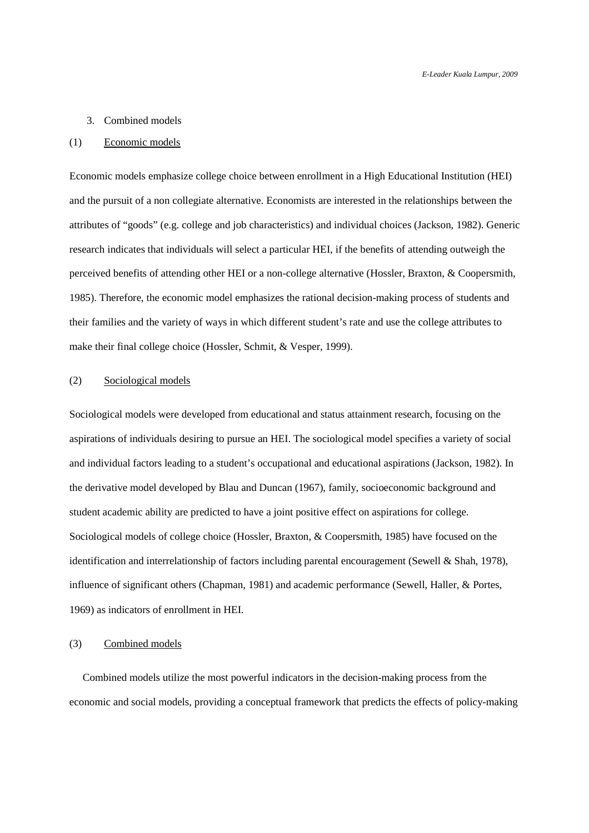#### 3. Combined models

### (1) Economic models

Economic models emphasize college choice between enrollment in a High Educational Institution (HEI) and the pursuit of a non collegiate alternative. Economists are interested in the relationships between the attributes of "goods" (e.g. college and job characteristics) and individual choices (Jackson, 1982). Generic research indicates that individuals will select a particular HEI, if the benefits of attending outweigh the perceived benefits of attending other HEI or a non-college alternative (Hossler, Braxton, & Coopersmith, 1985). Therefore, the economic model emphasizes the rational decision-making process of students and their families and the variety of ways in which different student's rate and use the college attributes to make their final college choice (Hossler, Schmit, & Vesper, 1999).

### (2) Sociological models

Sociological models were developed from educational and status attainment research, focusing on the aspirations of individuals desiring to pursue an HEI. The sociological model specifies a variety of social and individual factors leading to a student's occupational and educational aspirations (Jackson, 1982). In the derivative model developed by Blau and Duncan (1967), family, socioeconomic background and student academic ability are predicted to have a joint positive effect on aspirations for college. Sociological models of college choice (Hossler, Braxton, & Coopersmith, 1985) have focused on the identification and interrelationship of factors including parental encouragement (Sewell & Shah, 1978), influence of significant others (Chapman, 1981) and academic performance (Sewell, Haller, & Portes, 1969) as indicators of enrollment in HEI.

### (3) Combined models

 Combined models utilize the most powerful indicators in the decision-making process from the economic and social models, providing a conceptual framework that predicts the effects of policy-making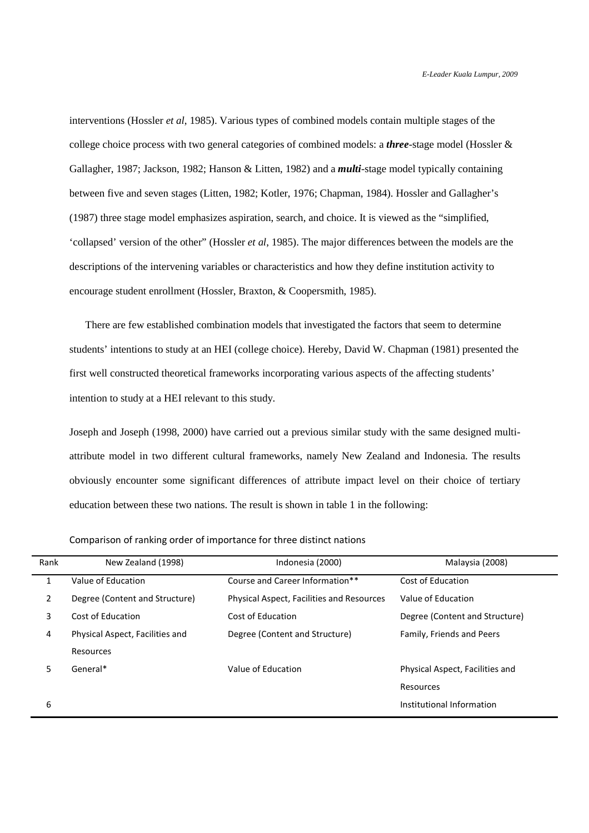interventions (Hossler *et al*, 1985). Various types of combined models contain multiple stages of the college choice process with two general categories of combined models: a *three*-stage model (Hossler & Gallagher, 1987; Jackson, 1982; Hanson & Litten, 1982) and a *multi*-stage model typically containing between five and seven stages (Litten, 1982; Kotler, 1976; Chapman, 1984). Hossler and Gallagher's (1987) three stage model emphasizes aspiration, search, and choice. It is viewed as the "simplified, 'collapsed' version of the other" (Hossler *et al*, 1985). The major differences between the models are the descriptions of the intervening variables or characteristics and how they define institution activity to encourage student enrollment (Hossler, Braxton, & Coopersmith, 1985).

 There are few established combination models that investigated the factors that seem to determine students' intentions to study at an HEI (college choice). Hereby, David W. Chapman (1981) presented the first well constructed theoretical frameworks incorporating various aspects of the affecting students' intention to study at a HEI relevant to this study.

Joseph and Joseph (1998, 2000) have carried out a previous similar study with the same designed multiattribute model in two different cultural frameworks, namely New Zealand and Indonesia. The results obviously encounter some significant differences of attribute impact level on their choice of tertiary education between these two nations. The result is shown in table 1 in the following:

| Rank           | New Zealand (1998)              | Indonesia (2000)                          | Malaysia (2008)                 |
|----------------|---------------------------------|-------------------------------------------|---------------------------------|
|                | Value of Education              | Course and Career Information**           | Cost of Education               |
| $\overline{2}$ | Degree (Content and Structure)  | Physical Aspect, Facilities and Resources | Value of Education              |
| 3              | Cost of Education               | Cost of Education                         | Degree (Content and Structure)  |
| 4              | Physical Aspect, Facilities and | Degree (Content and Structure)            | Family, Friends and Peers       |
|                | Resources                       |                                           |                                 |
| 5              | General*                        | Value of Education                        | Physical Aspect, Facilities and |
|                |                                 |                                           | Resources                       |
| 6              |                                 |                                           | Institutional Information       |

Comparison of ranking order of importance for three distinct nations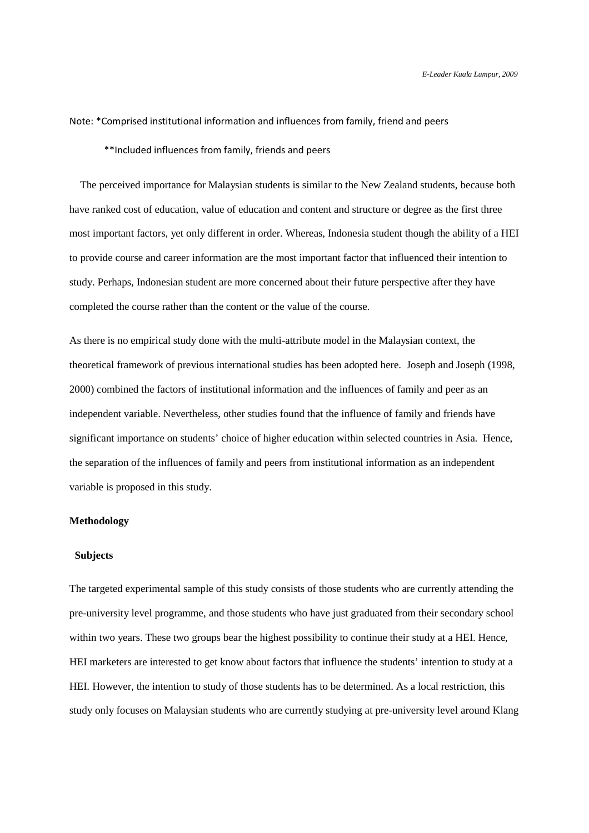### Note: \*Comprised institutional information and influences from family, friend and peers

\*\*Included influences from family, friends and peers

 The perceived importance for Malaysian students is similar to the New Zealand students, because both have ranked cost of education, value of education and content and structure or degree as the first three most important factors, yet only different in order. Whereas, Indonesia student though the ability of a HEI to provide course and career information are the most important factor that influenced their intention to study. Perhaps, Indonesian student are more concerned about their future perspective after they have completed the course rather than the content or the value of the course.

As there is no empirical study done with the multi-attribute model in the Malaysian context, the theoretical framework of previous international studies has been adopted here. Joseph and Joseph (1998, 2000) combined the factors of institutional information and the influences of family and peer as an independent variable. Nevertheless, other studies found that the influence of family and friends have significant importance on students' choice of higher education within selected countries in Asia. Hence, the separation of the influences of family and peers from institutional information as an independent variable is proposed in this study.

### **Methodology**

#### **Subjects**

The targeted experimental sample of this study consists of those students who are currently attending the pre-university level programme, and those students who have just graduated from their secondary school within two years. These two groups bear the highest possibility to continue their study at a HEI. Hence, HEI marketers are interested to get know about factors that influence the students' intention to study at a HEI. However, the intention to study of those students has to be determined. As a local restriction, this study only focuses on Malaysian students who are currently studying at pre-university level around Klang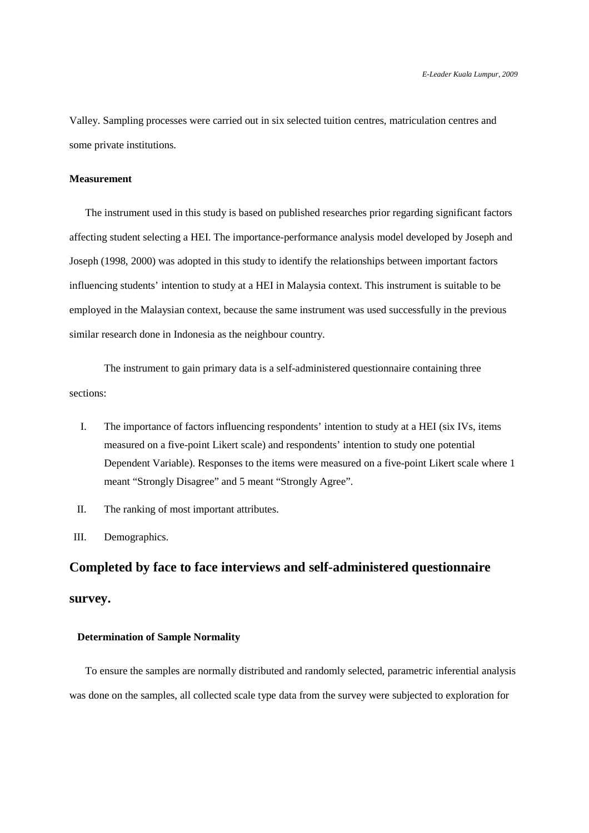Valley. Sampling processes were carried out in six selected tuition centres, matriculation centres and some private institutions.

## **Measurement**

The instrument used in this study is based on published researches prior regarding significant factors affecting student selecting a HEI. The importance-performance analysis model developed by Joseph and Joseph (1998, 2000) was adopted in this study to identify the relationships between important factors influencing students' intention to study at a HEI in Malaysia context. This instrument is suitable to be employed in the Malaysian context, because the same instrument was used successfully in the previous similar research done in Indonesia as the neighbour country.

 The instrument to gain primary data is a self-administered questionnaire containing three sections:

- I. The importance of factors influencing respondents' intention to study at a HEI (six IVs, items measured on a five-point Likert scale) and respondents' intention to study one potential Dependent Variable). Responses to the items were measured on a five-point Likert scale where 1 meant "Strongly Disagree" and 5 meant "Strongly Agree".
- II. The ranking of most important attributes.

III. Demographics.

# **Completed by face to face interviews and self-administered questionnaire survey.**

## **Determination of Sample Normality**

 To ensure the samples are normally distributed and randomly selected, parametric inferential analysis was done on the samples, all collected scale type data from the survey were subjected to exploration for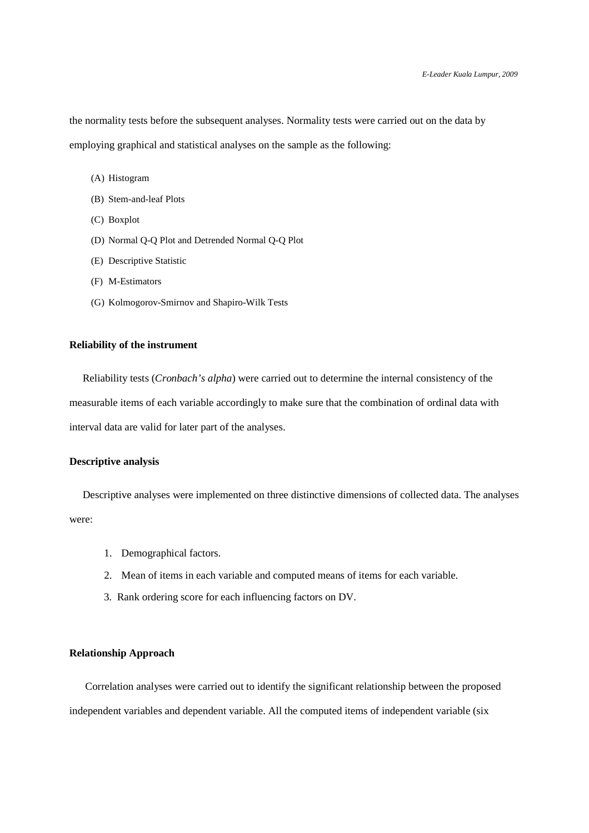the normality tests before the subsequent analyses. Normality tests were carried out on the data by employing graphical and statistical analyses on the sample as the following:

- (A) Histogram
- (B) Stem-and-leaf Plots
- (C) Boxplot
- (D) Normal Q-Q Plot and Detrended Normal Q-Q Plot
- (E) Descriptive Statistic
- (F) M-Estimators
- (G) Kolmogorov-Smirnov and Shapiro-Wilk Tests

## **Reliability of the instrument**

 Reliability tests (*Cronbach's alpha*) were carried out to determine the internal consistency of the measurable items of each variable accordingly to make sure that the combination of ordinal data with interval data are valid for later part of the analyses.

## **Descriptive analysis**

 Descriptive analyses were implemented on three distinctive dimensions of collected data. The analyses were:

- 1. Demographical factors.
- 2. Mean of items in each variable and computed means of items for each variable.
- 3. Rank ordering score for each influencing factors on DV.

### **Relationship Approach**

 Correlation analyses were carried out to identify the significant relationship between the proposed independent variables and dependent variable. All the computed items of independent variable (six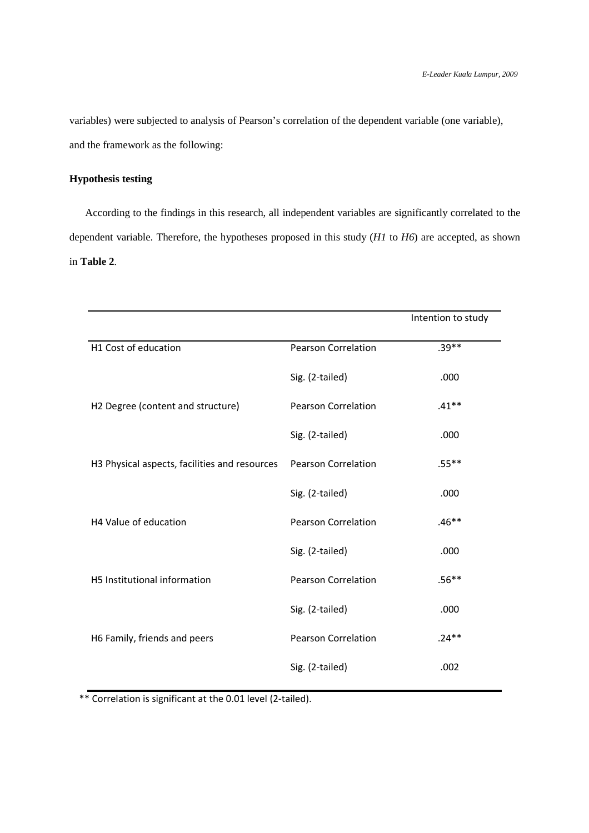variables) were subjected to analysis of Pearson's correlation of the dependent variable (one variable), and the framework as the following:

# **Hypothesis testing**

 According to the findings in this research, all independent variables are significantly correlated to the dependent variable. Therefore, the hypotheses proposed in this study (*H1* to *H6*) are accepted, as shown in **Table 2**.

|                                               |                            | Intention to study |
|-----------------------------------------------|----------------------------|--------------------|
| H1 Cost of education                          | <b>Pearson Correlation</b> | $.39**$            |
|                                               | Sig. (2-tailed)            | .000               |
| H2 Degree (content and structure)             | <b>Pearson Correlation</b> | $.41***$           |
|                                               | Sig. (2-tailed)            | .000               |
| H3 Physical aspects, facilities and resources | <b>Pearson Correlation</b> | $.55***$           |
|                                               | Sig. (2-tailed)            | .000               |
| H4 Value of education                         | <b>Pearson Correlation</b> | $.46**$            |
|                                               | Sig. (2-tailed)            | .000               |
| H5 Institutional information                  | <b>Pearson Correlation</b> | $.56**$            |
|                                               | Sig. (2-tailed)            | .000               |
| H6 Family, friends and peers                  | <b>Pearson Correlation</b> | $.24**$            |
|                                               | Sig. (2-tailed)            | .002               |

\*\* Correlation is significant at the 0.01 level (2-tailed).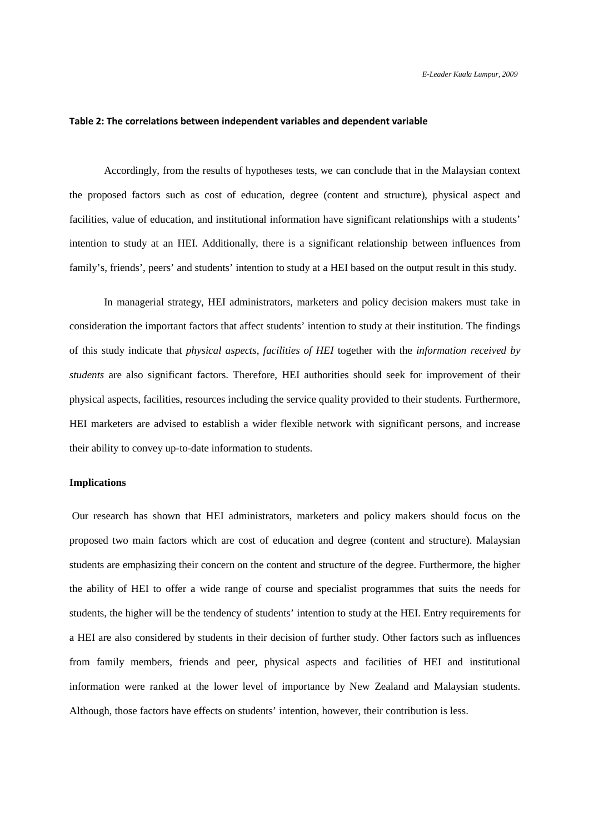### **Table 2: The correlations between independent variables and dependent variable**

Accordingly, from the results of hypotheses tests, we can conclude that in the Malaysian context the proposed factors such as cost of education, degree (content and structure), physical aspect and facilities, value of education, and institutional information have significant relationships with a students' intention to study at an HEI. Additionally, there is a significant relationship between influences from family's, friends', peers' and students' intention to study at a HEI based on the output result in this study.

 In managerial strategy, HEI administrators, marketers and policy decision makers must take in consideration the important factors that affect students' intention to study at their institution. The findings of this study indicate that *physical aspects*, *facilities of HEI* together with the *information received by students* are also significant factors. Therefore, HEI authorities should seek for improvement of their physical aspects, facilities, resources including the service quality provided to their students. Furthermore, HEI marketers are advised to establish a wider flexible network with significant persons, and increase their ability to convey up-to-date information to students.

### **Implications**

 Our research has shown that HEI administrators, marketers and policy makers should focus on the proposed two main factors which are cost of education and degree (content and structure). Malaysian students are emphasizing their concern on the content and structure of the degree. Furthermore, the higher the ability of HEI to offer a wide range of course and specialist programmes that suits the needs for students, the higher will be the tendency of students' intention to study at the HEI. Entry requirements for a HEI are also considered by students in their decision of further study. Other factors such as influences from family members, friends and peer, physical aspects and facilities of HEI and institutional information were ranked at the lower level of importance by New Zealand and Malaysian students. Although, those factors have effects on students' intention, however, their contribution is less.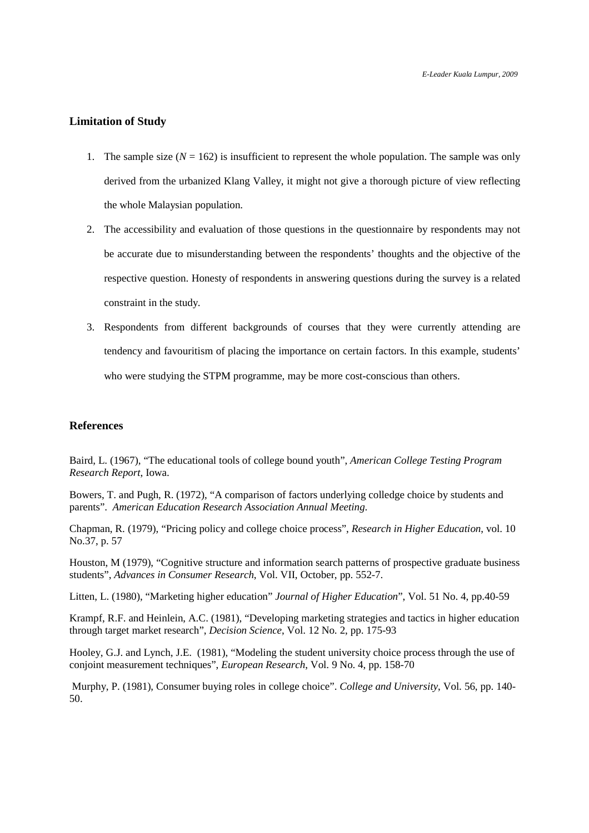### **Limitation of Study**

- 1. The sample size  $(N = 162)$  is insufficient to represent the whole population. The sample was only derived from the urbanized Klang Valley, it might not give a thorough picture of view reflecting the whole Malaysian population.
- 2. The accessibility and evaluation of those questions in the questionnaire by respondents may not be accurate due to misunderstanding between the respondents' thoughts and the objective of the respective question. Honesty of respondents in answering questions during the survey is a related constraint in the study.
- 3. Respondents from different backgrounds of courses that they were currently attending are tendency and favouritism of placing the importance on certain factors. In this example, students' who were studying the STPM programme, may be more cost-conscious than others.

## **References**

Baird, L. (1967), "The educational tools of college bound youth", *American College Testing Program Research Report*, Iowa.

Bowers, T. and Pugh, R. (1972), "A comparison of factors underlying colledge choice by students and parents". *American Education Research Association Annual Meeting*.

Chapman, R. (1979), "Pricing policy and college choice process", *Research in Higher Education*, vol. 10 No.37, p. 57

Houston, M (1979), "Cognitive structure and information search patterns of prospective graduate business students", *Advances in Consumer Research*, Vol. VII, October, pp. 552-7.

Litten, L. (1980), "Marketing higher education" *Journal of Higher Education*", Vol. 51 No. 4, pp.40-59

Krampf, R.F. and Heinlein, A.C. (1981), "Developing marketing strategies and tactics in higher education through target market research", *Decision Science*, Vol. 12 No. 2, pp. 175-93

Hooley, G.J. and Lynch, J.E. (1981), "Modeling the student university choice process through the use of conjoint measurement techniques", *European Research*, Vol. 9 No. 4, pp. 158-70

 Murphy, P. (1981), Consumer buying roles in college choice". *College and University*, Vol. 56, pp. 140- 50.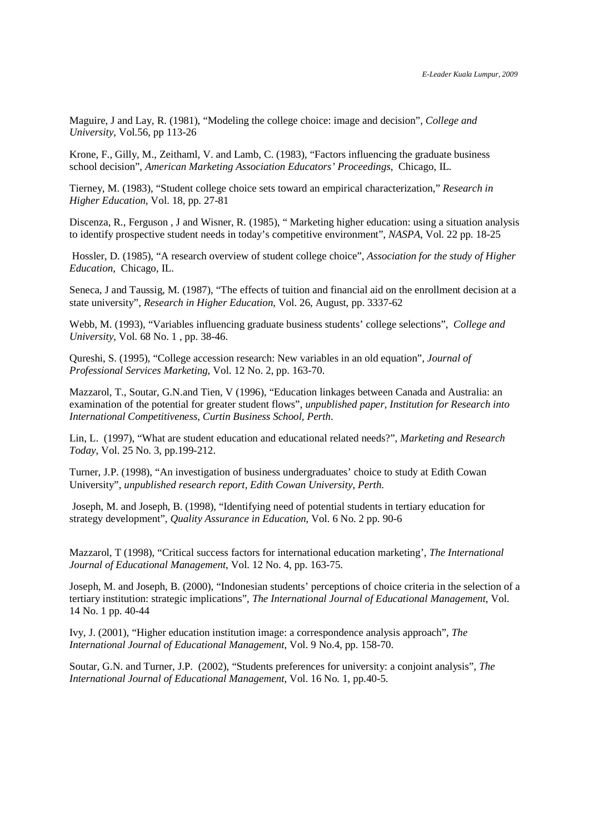Maguire, J and Lay, R. (1981), "Modeling the college choice: image and decision", *College and University*, Vol.56, pp 113-26

Krone, F., Gilly, M., Zeithaml, V. and Lamb, C. (1983), "Factors influencing the graduate business school decision", *American Marketing Association Educators' Proceedings*, Chicago, IL.

Tierney, M. (1983), "Student college choice sets toward an empirical characterization," *Research in Higher Education*, Vol. 18, pp. 27-81

Discenza, R., Ferguson , J and Wisner, R. (1985), " Marketing higher education: using a situation analysis to identify prospective student needs in today's competitive environment", *NASPA*, Vol. 22 pp. 18-25

 Hossler, D. (1985), "A research overview of student college choice", *Association for the study of Higher Education*, Chicago, IL.

Seneca, J and Taussig, M. (1987), "The effects of tuition and financial aid on the enrollment decision at a state university", *Research in Higher Education*, Vol. 26, August, pp. 3337-62

Webb, M. (1993), "Variables influencing graduate business students' college selections", *College and University*, Vol. 68 No. 1 , pp. 38-46.

Qureshi, S. (1995), "College accession research: New variables in an old equation", *Journal of Professional Services Marketing*, Vol. 12 No. 2, pp. 163-70.

Mazzarol, T., Soutar, G.N.and Tien, V (1996), "Education linkages between Canada and Australia: an examination of the potential for greater student flows", *unpublished paper, Institution for Research into International Competitiveness, Curtin Business School, Perth*.

Lin, L. (1997), "What are student education and educational related needs?", *Marketing and Research Today*, Vol. 25 No. 3, pp.199-212.

Turner, J.P. (1998), "An investigation of business undergraduates' choice to study at Edith Cowan University", *unpublished research report, Edith Cowan University, Perth*.

 Joseph, M. and Joseph, B. (1998), "Identifying need of potential students in tertiary education for strategy development", *Quality Assurance in Education*, Vol. 6 No. 2 pp. 90-6

Mazzarol, T (1998), "Critical success factors for international education marketing', *The International Journal of Educational Management*, Vol. 12 No. 4, pp. 163-75.

Joseph, M. and Joseph, B. (2000), "Indonesian students' perceptions of choice criteria in the selection of a tertiary institution: strategic implications", *The International Journal of Educational Management*, Vol. 14 No. 1 pp. 40-44

Ivy, J. (2001), "Higher education institution image: a correspondence analysis approach", *The International Journal of Educational Management*, Vol. 9 No.4, pp. 158-70.

Soutar, G.N. and Turner, J.P. (2002), "Students preferences for university: a conjoint analysis", *The International Journal of Educational Management*, Vol. 16 No. 1, pp.40-5.